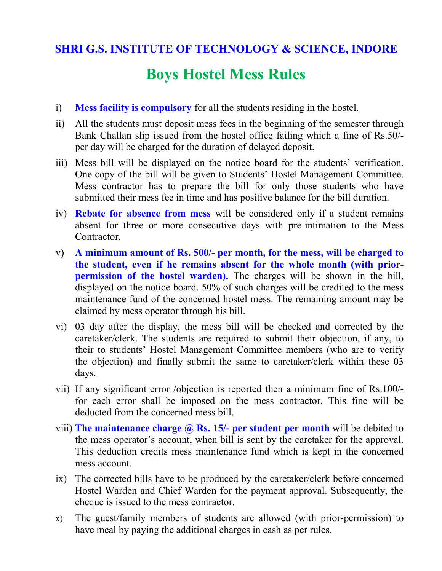## **SHRI G.S. INSTITUTE OF TECHNOLOGY & SCIENCE, INDORE**

# **Boys Hostel Mess Rules**

- i) **Mess facility is compulsory** for all the students residing in the hostel.
- ii) All the students must deposit mess fees in the beginning of the semester through Bank Challan slip issued from the hostel office failing which a fine of Rs.50/ per day will be charged for the duration of delayed deposit.
- iii) Mess bill will be displayed on the notice board for the students' verification. One copy of the bill will be given to Students' Hostel Management Committee. Mess contractor has to prepare the bill for only those students who have submitted their mess fee in time and has positive balance for the bill duration.
- iv) **Rebate for absence from mess** will be considered only if a student remains absent for three or more consecutive days with pre-intimation to the Mess Contractor.
- v) **A minimum amount of Rs. 500/- per month, for the mess, will be charged to the student, even if he remains absent for the whole month (with prior permission of the hostel warden).** The charges will be shown in the bill, displayed on the notice board. 50% of such charges will be credited to the mess maintenance fund of the concerned hostel mess. The remaining amount may be claimed by mess operator through his bill.
- vi) 03 day after the display, the mess bill will be checked and corrected by the caretaker/clerk. The students are required to submit their objection, if any, to their to students' Hostel Management Committee members (who are to verify the objection) and finally submit the same to caretaker/clerk within these 03 days.
- vii) If any significant error /objection is reported then a minimum fine of Rs.100/ for each error shall be imposed on the mess contractor. This fine will be deducted from the concerned mess bill.
- viii) **The maintenance charge @ Rs. 15/- per student per month** will be debited to the mess operator's account, when bill is sent by the caretaker for the approval. This deduction credits mess maintenance fund which is kept in the concerned mess account.
- ix) The corrected bills have to be produced by the caretaker/clerk before concerned Hostel Warden and Chief Warden for the payment approval. Subsequently, the cheque is issued to the mess contractor.
- x) The guest/family members of students are allowed (with prior-permission) to have meal by paying the additional charges in cash as per rules.